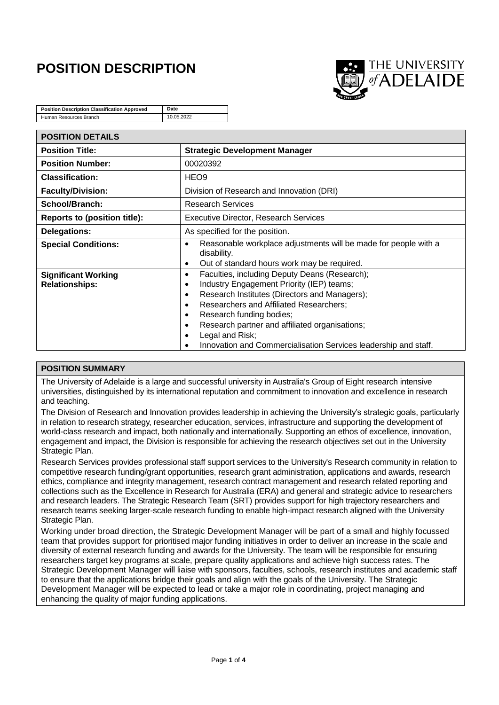# **POSITION DESCRIPTION**



| <b>Position Description Classification Approved</b> | Date       |
|-----------------------------------------------------|------------|
| Human Resources Branch                              | 10.05.2022 |

| <b>POSITION DETAILS</b>                             |                                                                                                                                                                                                                                                                                                                                                                                                                                                                           |
|-----------------------------------------------------|---------------------------------------------------------------------------------------------------------------------------------------------------------------------------------------------------------------------------------------------------------------------------------------------------------------------------------------------------------------------------------------------------------------------------------------------------------------------------|
| <b>Position Title:</b>                              | <b>Strategic Development Manager</b>                                                                                                                                                                                                                                                                                                                                                                                                                                      |
| <b>Position Number:</b>                             | 00020392                                                                                                                                                                                                                                                                                                                                                                                                                                                                  |
| <b>Classification:</b>                              | HEO <sub>9</sub>                                                                                                                                                                                                                                                                                                                                                                                                                                                          |
| <b>Faculty/Division:</b>                            | Division of Research and Innovation (DRI)                                                                                                                                                                                                                                                                                                                                                                                                                                 |
| School/Branch:                                      | <b>Research Services</b>                                                                                                                                                                                                                                                                                                                                                                                                                                                  |
| <b>Reports to (position title):</b>                 | <b>Executive Director, Research Services</b>                                                                                                                                                                                                                                                                                                                                                                                                                              |
| Delegations:                                        | As specified for the position.                                                                                                                                                                                                                                                                                                                                                                                                                                            |
| <b>Special Conditions:</b>                          | Reasonable workplace adjustments will be made for people with a<br>$\bullet$<br>disability.<br>Out of standard hours work may be required.<br>$\bullet$                                                                                                                                                                                                                                                                                                                   |
| <b>Significant Working</b><br><b>Relationships:</b> | Faculties, including Deputy Deans (Research);<br>$\bullet$<br>Industry Engagement Priority (IEP) teams;<br>$\bullet$<br>Research Institutes (Directors and Managers);<br>$\bullet$<br><b>Researchers and Affiliated Researchers;</b><br>$\bullet$<br>Research funding bodies;<br>$\bullet$<br>Research partner and affiliated organisations;<br>$\bullet$<br>Legal and Risk;<br>$\bullet$<br>Innovation and Commercialisation Services leadership and staff.<br>$\bullet$ |

## **POSITION SUMMARY**

The University of Adelaide is a large and successful university in Australia's Group of Eight research intensive universities, distinguished by its international reputation and commitment to innovation and excellence in research and teaching.

The Division of Research and Innovation provides leadership in achieving the University's strategic goals, particularly in relation to research strategy, researcher education, services, infrastructure and supporting the development of world-class research and impact, both nationally and internationally. Supporting an ethos of excellence, innovation, engagement and impact, the Division is responsible for achieving the research objectives set out in the University Strategic Plan.

Research Services provides professional staff support services to the University's Research community in relation to competitive research funding/grant opportunities, research grant administration, applications and awards, research ethics, compliance and integrity management, research contract management and research related reporting and collections such as the Excellence in Research for Australia (ERA) and general and strategic advice to researchers and research leaders. The Strategic Research Team (SRT) provides support for high trajectory researchers and research teams seeking larger-scale research funding to enable high-impact research aligned with the University Strategic Plan.

Working under broad direction, the Strategic Development Manager will be part of a small and highly focussed team that provides support for prioritised major funding initiatives in order to deliver an increase in the scale and diversity of external research funding and awards for the University. The team will be responsible for ensuring researchers target key programs at scale, prepare quality applications and achieve high success rates. The Strategic Development Manager will liaise with sponsors, faculties, schools, research institutes and academic staff to ensure that the applications bridge their goals and align with the goals of the University. The Strategic Development Manager will be expected to lead or take a major role in coordinating, project managing and enhancing the quality of major funding applications.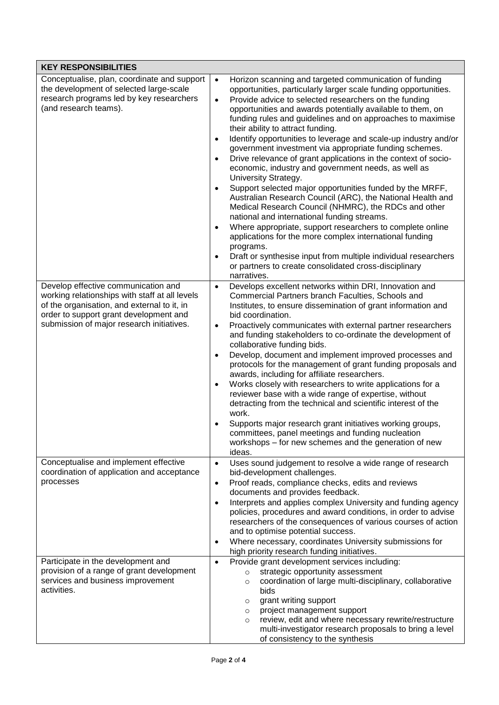| <b>KEY RESPONSIBILITIES</b>                                                                                                                                                                                                 |                                                                                                                                                                                                                                                                                                                                                                                                                                                                                                                                                                                                                                                                                                                                                                                                                                                                                                                                                                                                                                                                                                                                                                                                                                              |
|-----------------------------------------------------------------------------------------------------------------------------------------------------------------------------------------------------------------------------|----------------------------------------------------------------------------------------------------------------------------------------------------------------------------------------------------------------------------------------------------------------------------------------------------------------------------------------------------------------------------------------------------------------------------------------------------------------------------------------------------------------------------------------------------------------------------------------------------------------------------------------------------------------------------------------------------------------------------------------------------------------------------------------------------------------------------------------------------------------------------------------------------------------------------------------------------------------------------------------------------------------------------------------------------------------------------------------------------------------------------------------------------------------------------------------------------------------------------------------------|
| Conceptualise, plan, coordinate and support<br>the development of selected large-scale<br>research programs led by key researchers<br>(and research teams).                                                                 | $\bullet$<br>Horizon scanning and targeted communication of funding<br>opportunities, particularly larger scale funding opportunities.<br>Provide advice to selected researchers on the funding<br>$\bullet$<br>opportunities and awards potentially available to them, on<br>funding rules and guidelines and on approaches to maximise<br>their ability to attract funding.<br>Identify opportunities to leverage and scale-up industry and/or<br>$\bullet$<br>government investment via appropriate funding schemes.<br>Drive relevance of grant applications in the context of socio-<br>$\bullet$<br>economic, industry and government needs, as well as<br>University Strategy.<br>Support selected major opportunities funded by the MRFF,<br>$\bullet$<br>Australian Research Council (ARC), the National Health and<br>Medical Research Council (NHMRC), the RDCs and other<br>national and international funding streams.<br>Where appropriate, support researchers to complete online<br>$\bullet$<br>applications for the more complex international funding<br>programs.<br>Draft or synthesise input from multiple individual researchers<br>$\bullet$<br>or partners to create consolidated cross-disciplinary<br>narratives. |
| Develop effective communication and<br>working relationships with staff at all levels<br>of the organisation, and external to it, in<br>order to support grant development and<br>submission of major research initiatives. | Develops excellent networks within DRI, Innovation and<br>$\bullet$<br>Commercial Partners branch Faculties, Schools and<br>Institutes, to ensure dissemination of grant information and<br>bid coordination.<br>Proactively communicates with external partner researchers<br>$\bullet$<br>and funding stakeholders to co-ordinate the development of<br>collaborative funding bids.<br>Develop, document and implement improved processes and<br>$\bullet$<br>protocols for the management of grant funding proposals and<br>awards, including for affiliate researchers.<br>Works closely with researchers to write applications for a<br>$\bullet$<br>reviewer base with a wide range of expertise, without<br>detracting from the technical and scientific interest of the<br>work.<br>Supports major research grant initiatives working groups,<br>$\bullet$<br>committees, panel meetings and funding nucleation<br>workshops - for new schemes and the generation of new<br>ideas.                                                                                                                                                                                                                                                   |
| Conceptualise and implement effective<br>coordination of application and acceptance<br>processes                                                                                                                            | Uses sound judgement to resolve a wide range of research<br>$\bullet$<br>bid-development challenges.<br>Proof reads, compliance checks, edits and reviews<br>$\bullet$<br>documents and provides feedback.<br>Interprets and applies complex University and funding agency<br>$\bullet$<br>policies, procedures and award conditions, in order to advise<br>researchers of the consequences of various courses of action<br>and to optimise potential success.<br>Where necessary, coordinates University submissions for<br>$\bullet$<br>high priority research funding initiatives.                                                                                                                                                                                                                                                                                                                                                                                                                                                                                                                                                                                                                                                        |
| Participate in the development and<br>provision of a range of grant development<br>services and business improvement<br>activities.                                                                                         | Provide grant development services including:<br>$\bullet$<br>strategic opportunity assessment<br>$\circ$<br>coordination of large multi-disciplinary, collaborative<br>$\circ$<br>bids<br>grant writing support<br>$\circ$<br>project management support<br>$\circ$<br>review, edit and where necessary rewrite/restructure<br>$\circ$<br>multi-investigator research proposals to bring a level<br>of consistency to the synthesis                                                                                                                                                                                                                                                                                                                                                                                                                                                                                                                                                                                                                                                                                                                                                                                                         |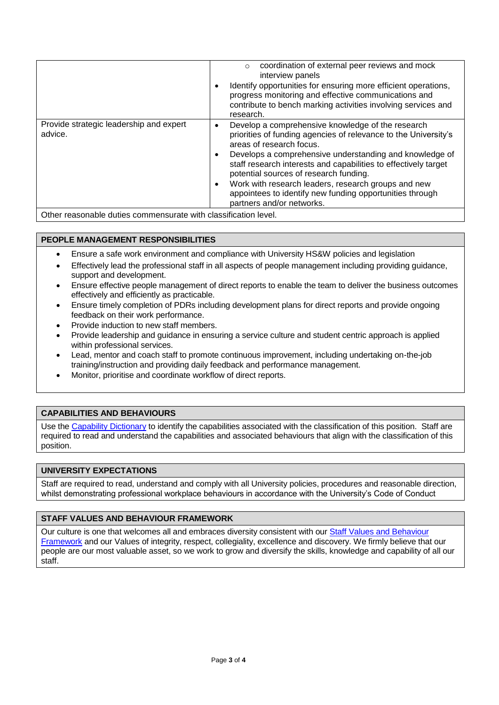|                                                    | coordination of external peer reviews and mock<br>$\circ$<br>interview panels<br>Identify opportunities for ensuring more efficient operations,<br>progress monitoring and effective communications and<br>contribute to bench marking activities involving services and<br>research.                                                                                                                                                                                                              |
|----------------------------------------------------|----------------------------------------------------------------------------------------------------------------------------------------------------------------------------------------------------------------------------------------------------------------------------------------------------------------------------------------------------------------------------------------------------------------------------------------------------------------------------------------------------|
| Provide strategic leadership and expert<br>advice. | Develop a comprehensive knowledge of the research<br>$\bullet$<br>priorities of funding agencies of relevance to the University's<br>areas of research focus.<br>Develops a comprehensive understanding and knowledge of<br>staff research interests and capabilities to effectively target<br>potential sources of research funding.<br>Work with research leaders, research groups and new<br>$\bullet$<br>appointees to identify new funding opportunities through<br>partners and/or networks. |

Other reasonable duties commensurate with classification level.

## **PEOPLE MANAGEMENT RESPONSIBILITIES**

- Ensure a safe work environment and compliance with University HS&W policies and legislation
- Effectively lead the professional staff in all aspects of people management including providing guidance, support and development.
- Ensure effective people management of direct reports to enable the team to deliver the business outcomes effectively and efficiently as practicable.
- Ensure timely completion of PDRs including development plans for direct reports and provide ongoing feedback on their work performance.
- Provide induction to new staff members.
- Provide leadership and guidance in ensuring a service culture and student centric approach is applied within professional services.
- Lead, mentor and coach staff to promote continuous improvement, including undertaking on-the-job training/instruction and providing daily feedback and performance management.
- Monitor, prioritise and coordinate workflow of direct reports.

# **CAPABILITIES AND BEHAVIOURS**

Use the [Capability Dictionary](https://www.adelaide.edu.au/hr/ua/media/1605/rec-core-capability-dictionary.pdf) to identify the capabilities associated with the classification of this position. Staff are required to read and understand the capabilities and associated behaviours that align with the classification of this position.

## **UNIVERSITY EXPECTATIONS**

Staff are required to read, understand and comply with all University policies, procedures and reasonable direction, whilst demonstrating professional workplace behaviours in accordance with the University's Code of Conduct

## **STAFF VALUES AND BEHAVIOUR FRAMEWORK**

Our culture is one that welcomes all and embraces diversity consistent with our [Staff Values and Behaviour](https://www.adelaide.edu.au/hr/organisational-development/university-values)  [Framework](https://www.adelaide.edu.au/hr/organisational-development/university-values) and our Values of integrity, respect, collegiality, excellence and discovery. We firmly believe that our people are our most valuable asset, so we work to grow and diversify the skills, knowledge and capability of all our staff.